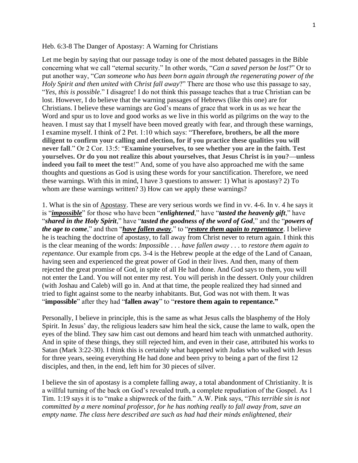## Heb. 6:3-8 The Danger of Apostasy: A Warning for Christians

Let me begin by saying that our passage today is one of the most debated passages in the Bible concerning what we call "eternal security." In other words, "*Can a saved person be lost*?" Or to put another way, "*Can someone who has been born again through the regenerating power of the Holy Spirit and then united with Christ fall away*?" There are those who use this passage to say, "*Yes, this is possible*." I disagree! I do not think this passage teaches that a true Christian can be lost. However, I do believe that the warning passages of Hebrews (like this one) are for Christians. I believe these warnings are God's means of grace that work in us as we hear the Word and spur us to love and good works as we live in this world as pilgrims on the way to the heaven. I must say that I myself have been moved greatly with fear, and through these warnings, I examine myself. I think of 2 Pet. 1:10 which says: "**Therefore, brothers, be all the more diligent to confirm your calling and election, for if you practice these qualities you will never fall**." Or 2 Cor. 13:5: "**Examine yourselves, to see whether you are in the faith. Test yourselves. Or do you not realize this about yourselves, that Jesus Christ is in you?—unless indeed you fail to meet the test**!" And, some of you have also approached me with the same thoughts and questions as God is using these words for your sanctification. Therefore, we need these warnings. With this in mind, I have 3 questions to answer: 1) What is apostasy? 2) To whom are these warnings written? 3) How can we apply these warnings?

1. What is the sin of Apostasy. These are very serious words we find in vv. 4-6. In v. 4 he says it is "*impossible*" for those who have been "*enlightened*," have "*tasted the heavenly gift*," have "*shared in the Holy Spirit*," have "*tasted the goodness of the word of God*," and the "*powers of the age to come*," and then "*have fallen away*," to "*restore them again to repentance*. I believe he is teaching the doctrine of apostasy, to fall away from Christ never to return again. I think this is the clear meaning of the words: *Impossible* . . . *have fallen away* . . . to *restore them again to repentance*. Our example from cps. 3-4 is the Hebrew people at the edge of the Land of Canaan, having seen and experienced the great power of God in their lives. And then, many of them rejected the great promise of God, in spite of all He had done. And God says to them, you will not enter the Land. You will not enter my rest. You will perish in the dessert. Only your children (with Joshau and Caleb) will go in. And at that time, the people realized they had sinned and tried to fight against some to the nearby inhabitants. But, God was not with them. It was "**impossible**" after they had "**fallen away**" to "**restore them again to repentance."**

Personally, I believe in principle, this is the same as what Jesus calls the blasphemy of the Holy Spirit. In Jesus' day, the religious leaders saw him heal the sick, cause the lame to walk, open the eyes of the blind. They saw him cast out demons and heard him teach with unmatched authority. And in spite of these things, they still rejected him, and even in their case, attributed his works to Satan (Mark 3:22-30). I think this is certainly what happened with Judas who walked with Jesus for three years, seeing everything He had done and been privy to being a part of the first 12 disciples, and then, in the end, left him for 30 pieces of silver.

I believe the sin of apostasy is a complete falling away, a total abandonment of Christianity. It is a willful turning of the back on God's revealed truth, a complete repudiation of the Gospel. As 1 Tim. 1:19 says it is to "make a shipwreck of the faith." A.W. Pink says, "*This terrible sin is not committed by a mere nominal professor, for he has nothing really to fall away from, save an empty name. The class here described are such as had had their minds enlightened, their*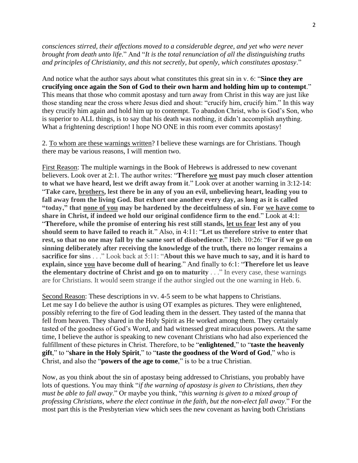*consciences stirred, their affections moved to a considerable degree, and yet who were never brought from death unto life*." And "*It is the total renunciation of all the distinguishing truths and principles of Christianity, and this not secretly, but openly, which constitutes apostasy*."

And notice what the author says about what constitutes this great sin in v. 6: "**Since they are crucifying once again the Son of God to their own harm and holding him up to contempt**." This means that those who commit apostasy and turn away from Christ in this way are just like those standing near the cross where Jesus died and shout: "crucify him, crucify him." In this way they crucify him again and hold him up to contempt. To abandon Christ, who is God's Son, who is superior to ALL things, is to say that his death was nothing, it didn't accomplish anything. What a frightening description! I hope NO ONE in this room ever commits apostasy!

2. To whom are these warnings written? I believe these warnings are for Christians. Though there may be various reasons, I will mention two.

First Reason: The multiple warnings in the Book of Hebrews is addressed to new covenant believers. Look over at 2:1. The author writes: "**Therefore we must pay much closer attention to what we have heard, lest we drift away from it**." Look over at another warning in 3:12-14: "**Take care, brothers, lest there be in any of you an evil, unbelieving heart, leading you to fall away from the living God. But exhort one another every day, as long as it is called "today," that none of you may be hardened by the deceitfulness of sin. For we have come to share in Christ, if indeed we hold our original confidence firm to the end**." Look at 4:1: "**Therefore, while the promise of entering his rest still stands, let us fear lest any of you should seem to have failed to reach it**." Also, in 4:11: "**Let us therefore strive to enter that rest, so that no one may fall by the same sort of disobedience**." Heb. 10:26: "**For if we go on sinning deliberately after receiving the knowledge of the truth, there no longer remains a sacrifice for sins** . . ." Look back at 5:11: "**About this we have much to say, and it is hard to explain, since you have become dull of hearing**." And finally to 6:1: "**Therefore let us leave the elementary doctrine of Christ and go on to maturity** . . ." In every case, these warnings are for Christians. It would seem strange if the author singled out the one warning in Heb. 6.

Second Reason: These descriptions in vv. 4-5 seem to be what happens to Christians. Let me say I do believe the author is using OT examples as pictures. They were enlightened, possibly referring to the fire of God leading them in the dessert. They tasted of the manna that fell from heaven. They shared in the Holy Spirit as He worked among them. They certainly tasted of the goodness of God's Word, and had witnessed great miraculous powers. At the same time, I believe the author is speaking to new covenant Christians who had also experienced the fulfillment of these pictures in Christ. Therefore, to be "**enlightened**," to "**taste the heavenly gift**," to "**share in the Holy Spirit**," to "**taste the goodness of the Word of God**," who is Christ, and also the "**powers of the age to come**," is to be a true Christian.

Now, as you think about the sin of apostasy being addressed to Christians, you probably have lots of questions. You may think "*if the warning of apostasy is given to Christians, then they must be able to fall away*." Or maybe you think, "*this warning is given to a mixed group of professing Christians, where the elect continue in the faith, but the non-elect fall away*." For the most part this is the Presbyterian view which sees the new covenant as having both Christians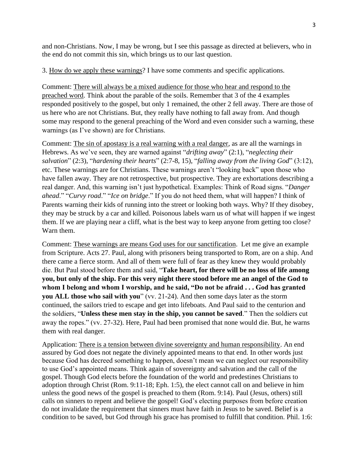and non-Christians. Now, I may be wrong, but I see this passage as directed at believers, who in the end do not commit this sin, which brings us to our last question.

3. How do we apply these warnings? I have some comments and specific applications.

Comment: There will always be a mixed audience for those who hear and respond to the preached word. Think about the parable of the soils. Remember that 3 of the 4 examples responded positively to the gospel, but only 1 remained, the other 2 fell away. There are those of us here who are not Christians. But, they really have nothing to fall away from. And though some may respond to the general preaching of the Word and even consider such a warning, these warnings (as I've shown) are for Christians.

Comment: The sin of apostasy is a real warning with a real danger, as are all the warnings in Hebrews. As we've seen, they are warned against "*drifting away*" (2:1), "*neglecting their salvation*" (2:3), "*hardening their hearts*" (2:7-8, 15), "*falling away from the living God*" (3:12), etc. These warnings are for Christians. These warnings aren't "looking back" upon those who have fallen away. They are not retrospective, but prospective. They are exhortations describing a real danger. And, this warning isn't just hypothetical. Examples: Think of Road signs. "*Danger ahead*." "*Curvy road*." "*Ice on bridge*." If you do not heed them, what will happen? I think of Parents warning their kids of running into the street or looking both ways. Why? If they disobey, they may be struck by a car and killed. Poisonous labels warn us of what will happen if we ingest them. If we are playing near a cliff, what is the best way to keep anyone from getting too close? Warn them.

Comment: These warnings are means God uses for our sanctification. Let me give an example from Scripture. Acts 27. Paul, along with prisoners being transported to Rom, are on a ship. And there came a fierce storm. And all of them were full of fear as they knew they would probably die. But Paul stood before them and said, "**Take heart, for there will be no loss of life among you, but only of the ship. For this very night there stood before me an angel of the God to whom I belong and whom I worship, and he said, "Do not be afraid . . . God has granted you ALL those who sail with you**" (vv. 21-24). And then some days later as the storm continued, the sailors tried to escape and get into lifeboats. And Paul said to the centurion and the soldiers, "**Unless these men stay in the ship, you cannot be saved**." Then the soldiers cut away the ropes." (vv. 27-32). Here, Paul had been promised that none would die. But, he warns them with real danger.

Application: There is a tension between divine sovereignty and human responsibility. An end assured by God does not negate the divinely appointed means to that end. In other words just because God has decreed something to happen, doesn't mean we can neglect our responsibility to use God's appointed means. Think again of sovereignty and salvation and the call of the gospel. Though God elects before the foundation of the world and predestines Christians to adoption through Christ (Rom. 9:11-18; Eph. 1:5), the elect cannot call on and believe in him unless the good news of the gospel is preached to them (Rom. 9:14). Paul (Jesus, others) still calls on sinners to repent and believe the gospel! God's electing purposes from before creation do not invalidate the requirement that sinners must have faith in Jesus to be saved. Belief is a condition to be saved, but God through his grace has promised to fulfill that condition. Phil. 1:6: